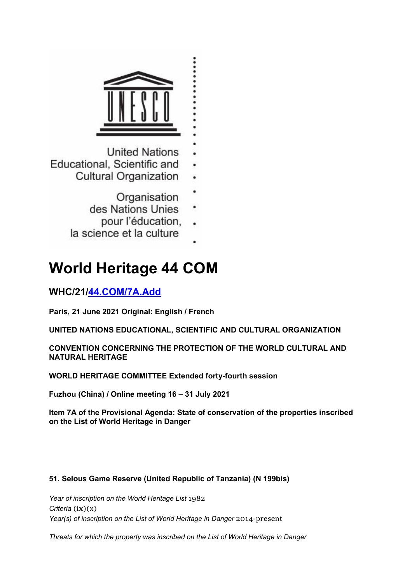

- **United Nations**
- Educational, Scientific and
	- **Cultural Organization** 
		- Organisation
		- des Nations Unies
			- pour l'éducation,
	- la science et la culture

# **World Heritage 44 COM**

# **WHC/21/44.COM/7A.Add**

**Paris, 21 June 2021 Original: English / French**

**UNITED NATIONS EDUCATIONAL, SCIENTIFIC AND CULTURAL ORGANIZATION**

**CONVENTION CONCERNING THE PROTECTION OF THE WORLD CULTURAL AND NATURAL HERITAGE**

**WORLD HERITAGE COMMITTEE Extended forty-fourth session**

**Fuzhou (China) / Online meeting 16 – 31 July 2021**

**Item 7A of the Provisional Agenda: State of conservation of the properties inscribed on the List of World Heritage in Danger**

## **51. Selous Game Reserve (United Republic of Tanzania) (N 199bis)**

*Year of inscription on the World Heritage List* 1982 *Criteria* (ix)(x) *Year(s) of inscription on the List of World Heritage in Danger 2014-present* 

*Threats for which the property was inscribed on the List of World Heritage in Danger*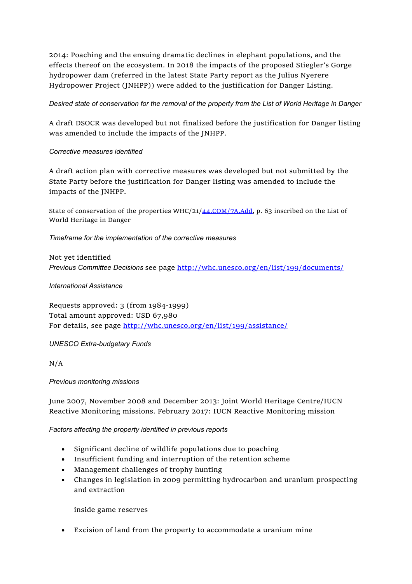2014: Poaching and the ensuing dramatic declines in elephant populations, and the effects thereof on the ecosystem. In 2018 the impacts of the proposed Stiegler's Gorge hydropower dam (referred in the latest State Party report as the Julius Nyerere Hydropower Project (JNHPP)) were added to the justification for Danger Listing.

*Desired state of conservation for the removal of the property from the List of World Heritage in Danger*

A draft DSOCR was developed but not finalized before the justification for Danger listing was amended to include the impacts of the JNHPP.

#### *Corrective measures identified*

A draft action plan with corrective measures was developed but not submitted by the State Party before the justification for Danger listing was amended to include the impacts of the JNHPP.

State of conservation of the properties WHC/21/44.COM/7A.Add, p. 63 inscribed on the List of World Heritage in Danger

*Timeframe for the implementation of the corrective measures*

Not yet identified *Previous Committee Decisions* see page http://whc.unesco.org/en/list/199/documents/

#### *International Assistance*

Requests approved: 3 (from 1984-1999) Total amount approved: USD 67,980 For details, see page http://whc.unesco.org/en/list/199/assistance/

#### *UNESCO Extra-budgetary Funds*

N/A

#### *Previous monitoring missions*

June 2007, November 2008 and December 2013: Joint World Heritage Centre/IUCN Reactive Monitoring missions. February 2017: IUCN Reactive Monitoring mission

*Factors affecting the property identified in previous reports*

- Significant decline of wildlife populations due to poaching
- Insufficient funding and interruption of the retention scheme
- Management challenges of trophy hunting
- Changes in legislation in 2009 permitting hydrocarbon and uranium prospecting and extraction

inside game reserves

Excision of land from the property to accommodate a uranium mine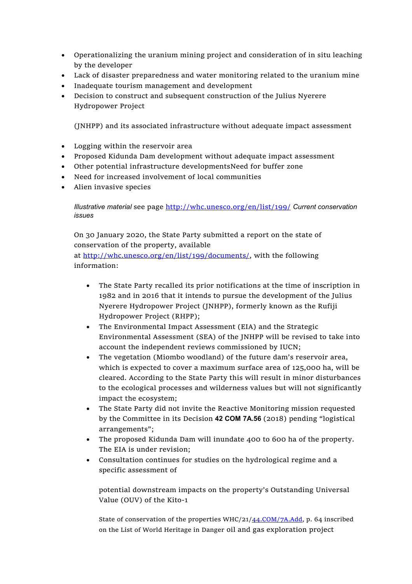- Operationalizing the uranium mining project and consideration of in situ leaching by the developer
- Lack of disaster preparedness and water monitoring related to the uranium mine
- Inadequate tourism management and development
- Decision to construct and subsequent construction of the Julius Nyerere Hydropower Project

(JNHPP) and its associated infrastructure without adequate impact assessment

- Logging within the reservoir area
- Proposed Kidunda Dam development without adequate impact assessment
- Other potential infrastructure developmentsNeed for buffer zone
- Need for increased involvement of local communities
- Alien invasive species

*Illustrative material* see page http://whc.unesco.org/en/list/199/ *Current conservation issues*

On 30 January 2020, the State Party submitted a report on the state of conservation of the property, available at http://whc.unesco.org/en/list/199/documents/, with the following information:

- The State Party recalled its prior notifications at the time of inscription in 1982 and in 2016 that it intends to pursue the development of the Julius Nyerere Hydropower Project (JNHPP), formerly known as the Rufiji Hydropower Project (RHPP);
- The Environmental Impact Assessment (EIA) and the Strategic Environmental Assessment (SEA) of the JNHPP will be revised to take into account the independent reviews commissioned by IUCN;
- The vegetation (Miombo woodland) of the future dam's reservoir area, which is expected to cover a maximum surface area of 125,000 ha, will be cleared. According to the State Party this will result in minor disturbances to the ecological processes and wilderness values but will not significantly impact the ecosystem;
- The State Party did not invite the Reactive Monitoring mission requested by the Committee in its Decision **42 COM 7A.56** (2018) pending "logistical arrangements";
- The proposed Kidunda Dam will inundate 400 to 600 ha of the property. The EIA is under revision;
- Consultation continues for studies on the hydrological regime and a specific assessment of

potential downstream impacts on the property's Outstanding Universal Value (OUV) of the Kito-1

State of conservation of the properties WHC/21/44.COM/7A.Add, p. 64 inscribed on the List of World Heritage in Danger oil and gas exploration project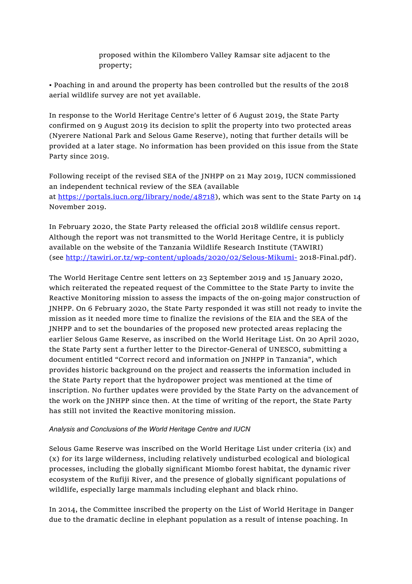proposed within the Kilombero Valley Ramsar site adjacent to the property;

• Poaching in and around the property has been controlled but the results of the 2018 aerial wildlife survey are not yet available.

In response to the World Heritage Centre's letter of 6 August 2019, the State Party confirmed on 9 August 2019 its decision to split the property into two protected areas (Nyerere National Park and Selous Game Reserve), noting that further details will be provided at a later stage. No information has been provided on this issue from the State Party since 2019.

Following receipt of the revised SEA of the JNHPP on 21 May 2019, IUCN commissioned an independent technical review of the SEA (available at https://portals.iucn.org/library/node/48718), which was sent to the State Party on 14 November 2019.

In February 2020, the State Party released the official 2018 wildlife census report. Although the report was not transmitted to the World Heritage Centre, it is publicly available on the website of the Tanzania Wildlife Research Institute (TAWIRI) (see http://tawiri.or.tz/wp-content/uploads/2020/02/Selous-Mikumi- 2018-Final.pdf).

The World Heritage Centre sent letters on 23 September 2019 and 15 January 2020, which reiterated the repeated request of the Committee to the State Party to invite the Reactive Monitoring mission to assess the impacts of the on-going major construction of JNHPP. On 6 February 2020, the State Party responded it was still not ready to invite the mission as it needed more time to finalize the revisions of the EIA and the SEA of the JNHPP and to set the boundaries of the proposed new protected areas replacing the earlier Selous Game Reserve, as inscribed on the World Heritage List. On 20 April 2020, the State Party sent a further letter to the Director-General of UNESCO, submitting a document entitled "Correct record and information on JNHPP in Tanzania", which provides historic background on the project and reasserts the information included in the State Party report that the hydropower project was mentioned at the time of inscription. No further updates were provided by the State Party on the advancement of the work on the JNHPP since then. At the time of writing of the report, the State Party has still not invited the Reactive monitoring mission.

#### *Analysis and Conclusions of the World Heritage Centre and IUCN*

Selous Game Reserve was inscribed on the World Heritage List under criteria (ix) and (x) for its large wilderness, including relatively undisturbed ecological and biological processes, including the globally significant Miombo forest habitat, the dynamic river ecosystem of the Rufiji River, and the presence of globally significant populations of wildlife, especially large mammals including elephant and black rhino.

In 2014, the Committee inscribed the property on the List of World Heritage in Danger due to the dramatic decline in elephant population as a result of intense poaching. In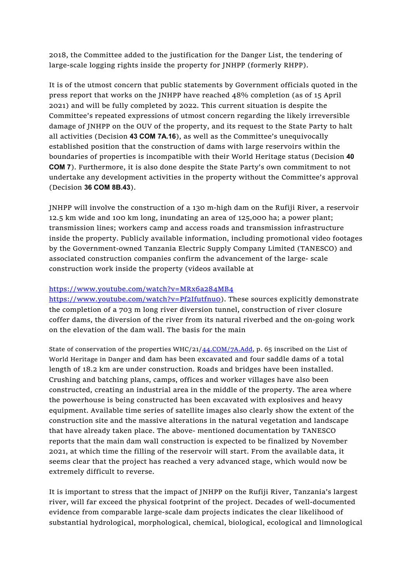2018, the Committee added to the justification for the Danger List, the tendering of large-scale logging rights inside the property for JNHPP (formerly RHPP).

It is of the utmost concern that public statements by Government officials quoted in the press report that works on the JNHPP have reached 48% completion (as of 15 April 2021) and will be fully completed by 2022. This current situation is despite the Committee's repeated expressions of utmost concern regarding the likely irreversible damage of JNHPP on the OUV of the property, and its request to the State Party to halt all activities (Decision **43 COM 7A.16**), as well as the Committee's unequivocally established position that the construction of dams with large reservoirs within the boundaries of properties is incompatible with their World Heritage status (Decision **40 COM 7**). Furthermore, it is also done despite the State Party's own commitment to not undertake any development activities in the property without the Committee's approval (Decision **36 COM 8B.43**).

JNHPP will involve the construction of a 130 m-high dam on the Rufiji River, a reservoir 12.5 km wide and 100 km long, inundating an area of 125,000 ha; a power plant; transmission lines; workers camp and access roads and transmission infrastructure inside the property. Publicly available information, including promotional video footages by the Government-owned Tanzania Electric Supply Company Limited (TANESCO) and associated construction companies confirm the advancement of the large- scale construction work inside the property (videos available at

#### https://www.youtube.com/watch?v=MRx6a284MB4

https://www.youtube.com/watch?v=Pf2Ifutfnu0). These sources explicitly demonstrate the completion of a 703 m long river diversion tunnel, construction of river closure coffer dams, the diversion of the river from its natural riverbed and the on-going work on the elevation of the dam wall. The basis for the main

State of conservation of the properties WHC/21/44.COM/7A.Add, p. 65 inscribed on the List of World Heritage in Danger and dam has been excavated and four saddle dams of a total length of 18.2 km are under construction. Roads and bridges have been installed. Crushing and batching plans, camps, offices and worker villages have also been constructed, creating an industrial area in the middle of the property. The area where the powerhouse is being constructed has been excavated with explosives and heavy equipment. Available time series of satellite images also clearly show the extent of the construction site and the massive alterations in the natural vegetation and landscape that have already taken place. The above- mentioned documentation by TANESCO reports that the main dam wall construction is expected to be finalized by November 2021, at which time the filling of the reservoir will start. From the available data, it seems clear that the project has reached a very advanced stage, which would now be extremely difficult to reverse.

It is important to stress that the impact of JNHPP on the Rufiji River, Tanzania's largest river, will far exceed the physical footprint of the project. Decades of well-documented evidence from comparable large-scale dam projects indicates the clear likelihood of substantial hydrological, morphological, chemical, biological, ecological and limnological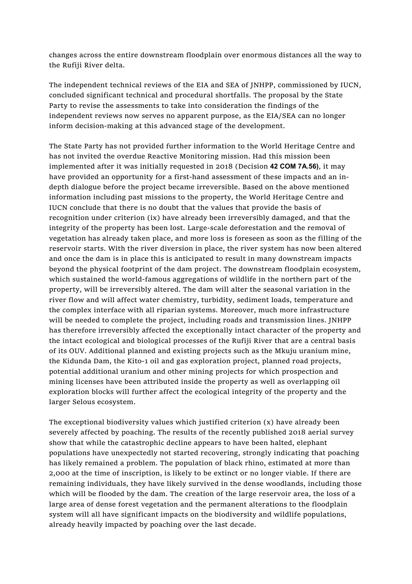changes across the entire downstream floodplain over enormous distances all the way to the Rufiji River delta.

The independent technical reviews of the EIA and SEA of JNHPP, commissioned by IUCN, concluded significant technical and procedural shortfalls. The proposal by the State Party to revise the assessments to take into consideration the findings of the independent reviews now serves no apparent purpose, as the EIA/SEA can no longer inform decision-making at this advanced stage of the development.

The State Party has not provided further information to the World Heritage Centre and has not invited the overdue Reactive Monitoring mission. Had this mission been implemented after it was initially requested in 2018 (Decision **42 COM 7A.56)**, it may have provided an opportunity for a first-hand assessment of these impacts and an indepth dialogue before the project became irreversible. Based on the above mentioned information including past missions to the property, the World Heritage Centre and IUCN conclude that there is no doubt that the values that provide the basis of recognition under criterion (ix) have already been irreversibly damaged, and that the integrity of the property has been lost. Large-scale deforestation and the removal of vegetation has already taken place, and more loss is foreseen as soon as the filling of the reservoir starts. With the river diversion in place, the river system has now been altered and once the dam is in place this is anticipated to result in many downstream impacts beyond the physical footprint of the dam project. The downstream floodplain ecosystem, which sustained the world-famous aggregations of wildlife in the northern part of the property, will be irreversibly altered. The dam will alter the seasonal variation in the river flow and will affect water chemistry, turbidity, sediment loads, temperature and the complex interface with all riparian systems. Moreover, much more infrastructure will be needed to complete the project, including roads and transmission lines. JNHPP has therefore irreversibly affected the exceptionally intact character of the property and the intact ecological and biological processes of the Rufiji River that are a central basis of its OUV. Additional planned and existing projects such as the Mkuju uranium mine, the Kidunda Dam, the Kito-1 oil and gas exploration project, planned road projects, potential additional uranium and other mining projects for which prospection and mining licenses have been attributed inside the property as well as overlapping oil exploration blocks will further affect the ecological integrity of the property and the larger Selous ecosystem.

The exceptional biodiversity values which justified criterion (x) have already been severely affected by poaching. The results of the recently published 2018 aerial survey show that while the catastrophic decline appears to have been halted, elephant populations have unexpectedly not started recovering, strongly indicating that poaching has likely remained a problem. The population of black rhino, estimated at more than 2,000 at the time of inscription, is likely to be extinct or no longer viable. If there are remaining individuals, they have likely survived in the dense woodlands, including those which will be flooded by the dam. The creation of the large reservoir area, the loss of a large area of dense forest vegetation and the permanent alterations to the floodplain system will all have significant impacts on the biodiversity and wildlife populations, already heavily impacted by poaching over the last decade.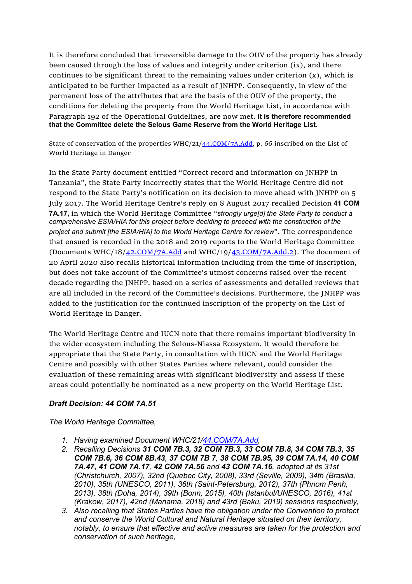It is therefore concluded that irreversible damage to the OUV of the property has already been caused through the loss of values and integrity under criterion (ix), and there continues to be significant threat to the remaining values under criterion  $(x)$ , which is anticipated to be further impacted as a result of JNHPP. Consequently, in view of the permanent loss of the attributes that are the basis of the OUV of the property, the conditions for deleting the property from the World Heritage List, in accordance with Paragraph 192 of the Operational Guidelines, are now met. **It is therefore recommended that the Committee delete the Selous Game Reserve from the World Heritage List.**

State of conservation of the properties WHC/21/ $44$ , COM/7A, Add, p. 66 inscribed on the List of World Heritage in Danger

In the State Party document entitled "Correct record and information on JNHPP in Tanzania", the State Party incorrectly states that the World Heritage Centre did not respond to the State Party's notification on its decision to move ahead with JNHPP on 5 July 2017. The World Heritage Centre's reply on 8 August 2017 recalled Decision **41 COM 7A.17,** in which the World Heritage Committee "*strongly urge[d] the State Party to conduct a comprehensive ESIA/HIA for this project before deciding to proceed with the construction of the project and submit [the ESIA/HIA] to the World Heritage Centre for review*". The correspondence that ensued is recorded in the 2018 and 2019 reports to the World Heritage Committee (Documents WHC/18/ $42$ .COM/7A.Add and WHC/19/ $43$ .COM/7A.Add.2). The document of 20 April 2020 also recalls historical information including from the time of inscription, but does not take account of the Committee's utmost concerns raised over the recent decade regarding the JNHPP, based on a series of assessments and detailed reviews that are all included in the record of the Committee's decisions. Furthermore, the JNHPP was added to the justification for the continued inscription of the property on the List of World Heritage in Danger.

The World Heritage Centre and IUCN note that there remains important biodiversity in the wider ecosystem including the Selous-Niassa Ecosystem. It would therefore be appropriate that the State Party, in consultation with IUCN and the World Heritage Centre and possibly with other States Parties where relevant, could consider the evaluation of these remaining areas with significant biodiversity and assess if these areas could potentially be nominated as a new property on the World Heritage List.

### *Draft Decision: 44 COM 7A.51*

*The World Heritage Committee,*

- *1. Having examined Document WHC/21/44.COM/7A.Add,*
- *2. Recalling Decisions 31 COM 7B.3, 32 COM 7B.3, 33 COM 7B.8, 34 COM 7B.3, 35 COM 7B.6, 36 COM 8B.43, 37 COM 7B 7, 38 COM 7B.95, 39 COM 7A.14, 40 COM 7A.47, 41 COM 7A.17, 42 COM 7A.56 and 43 COM 7A.16, adopted at its 31st (Christchurch, 2007), 32nd (Quebec City, 2008), 33rd (Seville, 2009), 34th (Brasilia, 2010), 35th (UNESCO, 2011), 36th (Saint-Petersburg, 2012), 37th (Phnom Penh, 2013), 38th (Doha, 2014), 39th (Bonn, 2015), 40th (Istanbul/UNESCO, 2016), 41st (Krakow, 2017), 42nd (Manama, 2018) and 43rd (Baku, 2019) sessions respectively,*
- *3. Also recalling that States Parties have the obligation under the Convention to protect and conserve the World Cultural and Natural Heritage situated on their territory, notably, to ensure that effective and active measures are taken for the protection and conservation of such heritage,*